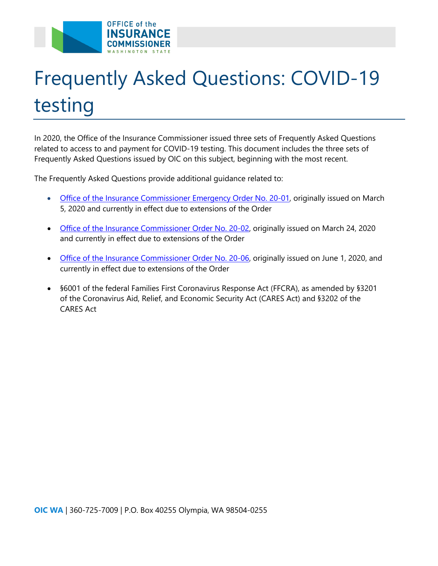

# Frequently Asked Questions: COVID-19 testing

In 2020, the Office of the Insurance Commissioner issued three sets of Frequently Asked Questions related to access to and payment for COVID-19 testing. This document includes the three sets of Frequently Asked Questions issued by OIC on this subject, beginning with the most recent.

The Frequently Asked Questions provide additional guidance related to:

- [Office of the Insurance Commissioner Emergency Order No. 20-01,](https://www.insurance.wa.gov/sites/default/files/documents/emergency-order-number-20-01.pdf) originally issued on March 5, 2020 and currently in effect due to extensions of the Order
- [Office of the Insurance Commissioner Order No. 20-02,](https://www.insurance.wa.gov/sites/default/files/documents/emergency-order-20-02_3.pdf) originally issued on March 24, 2020 and currently in effect due to extensions of the Order
- [Office of the Insurance Commissioner](https://www.insurance.wa.gov/sites/default/files/documents/emergency-order-surprise-billing-20-06_0.pdf) Order No. 20-06, originally issued on June 1, 2020, and currently in effect due to extensions of the Order
- §6001 of the federal Families First Coronavirus Response Act (FFCRA), as amended by §3201 of the Coronavirus Aid, Relief, and Economic Security Act (CARES Act) and §3202 of the CARES Act

**OIC WA** | 360-725-7009 | P.O. Box 40255 Olympia, WA 98504-0255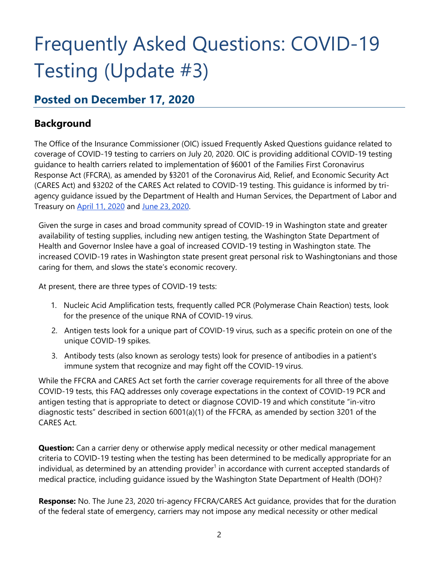### Frequently Asked Questions: COVID-19 Testing (Update #3)

#### **Posted on December 17, 2020**

#### **Background**

The Office of the Insurance Commissioner (OIC) issued Frequently Asked Questions guidance related to coverage of COVID-19 testing to carriers on July 20, 2020. OIC is providing additional COVID-19 testing guidance to health carriers related to implementation of §6001 of the Families First Coronavirus Response Act (FFCRA), as amended by §3201 of the Coronavirus Aid, Relief, and Economic Security Act (CARES Act) and §3202 of the CARES Act related to COVID-19 testing. This guidance is informed by triagency guidance issued by the Department of Health and Human Services, the Department of Labor and Treasury on [April 11, 2020](https://www.dol.gov/sites/dolgov/files/ebsa/about-ebsa/our-activities/resource-center/faqs/aca-part-42.pdf) and [June 23,](https://www.cms.gov/files/document/FFCRA-Part-43-FAQs.pdf) 2020.

Given the surge in cases and broad community spread of COVID-19 in Washington state and greater availability of testing supplies, including new antigen testing, the Washington State Department of Health and Governor Inslee have a goal of increased COVID-19 testing in Washington state. The increased COVID-19 rates in Washington state present great personal risk to Washingtonians and those caring for them, and slows the state's economic recovery.

At present, there are three types of COVID-19 tests:

- 1. Nucleic Acid Amplification tests, frequently called PCR (Polymerase Chain Reaction) tests, look for the presence of the unique RNA of COVID-19 virus.
- 2. Antigen tests look for a unique part of COVID-19 virus, such as a specific protein on one of the unique COVID-19 spikes.
- 3. Antibody tests (also known as serology tests) look for presence of antibodies in a patient's immune system that recognize and may fight off the COVID-19 virus.

While the FFCRA and CARES Act set forth the carrier coverage requirements for all three of the above COVID-19 tests, this FAQ addresses only coverage expectations in the context of COVID-19 PCR and antigen testing that is appropriate to detect or diagnose COVID-19 and which constitute "in-vitro diagnostic tests" described in section 6001(a)(1) of the FFCRA, as amended by section 3201 of the CARES Act.

**Question:** Can a carrier deny or otherwise apply medical necessity or other medical management criteria to COVID-19 testing when the testing has been determined to be medically appropriate for an individual, as determined by an attending provider<sup>1</sup> in accordance with current accepted standards of medical practice, including guidance issued by the Washington State Department of Health (DOH)?

**Response:** No. The June 23, 2020 tri-agency FFCRA/CARES Act guidance, provides that for the duration of the federal state of emergency, carriers may not impose any medical necessity or other medical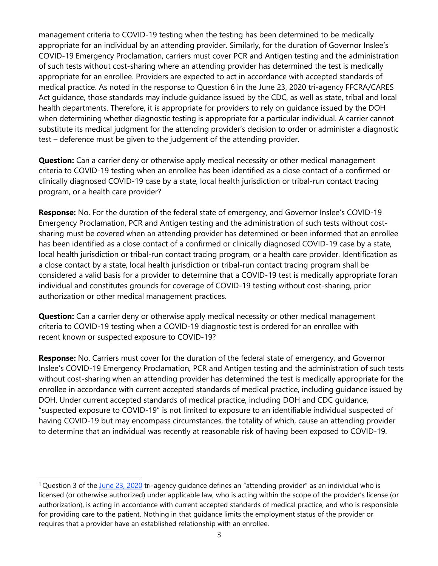management criteria to COVID-19 testing when the testing has been determined to be medically appropriate for an individual by an attending provider. Similarly, for the duration of Governor Inslee's COVID-19 Emergency Proclamation, carriers must cover PCR and Antigen testing and the administration of such tests without cost-sharing where an attending provider has determined the test is medically appropriate for an enrollee. Providers are expected to act in accordance with accepted standards of medical practice. As noted in the response to Question 6 in the June 23, 2020 tri-agency FFCRA/CARES Act guidance, those standards may include guidance issued by the CDC, as well as state, tribal and local health departments. Therefore, it is appropriate for providers to rely on guidance issued by the DOH when determining whether diagnostic testing is appropriate for a particular individual. A carrier cannot substitute its medical judgment for the attending provider's decision to order or administer a diagnostic test – deference must be given to the judgement of the attending provider.

**Question:** Can a carrier deny or otherwise apply medical necessity or other medical management criteria to COVID-19 testing when an enrollee has been identified as a close contact of a confirmed or clinically diagnosed COVID-19 case by a state, local health jurisdiction or tribal-run contact tracing program, or a health care provider?

**Response:** No. For the duration of the federal state of emergency, and Governor Inslee's COVID-19 Emergency Proclamation, PCR and Antigen testing and the administration of such tests without costsharing must be covered when an attending provider has determined or been informed that an enrollee has been identified as a close contact of a confirmed or clinically diagnosed COVID-19 case by a state, local health jurisdiction or tribal-run contact tracing program, or a health care provider. Identification as a close contact by a state, local health jurisdiction or tribal-run contact tracing program shall be considered a valid basis for a provider to determine that a COVID-19 test is medically appropriate foran individual and constitutes grounds for coverage of COVID-19 testing without cost-sharing, prior authorization or other medical management practices.

**Question:** Can a carrier deny or otherwise apply medical necessity or other medical management criteria to COVID-19 testing when a COVID-19 diagnostic test is ordered for an enrollee with recent known or suspected exposure to COVID-19?

**Response:** No. Carriers must cover for the duration of the federal state of emergency, and Governor Inslee's COVID-19 Emergency Proclamation, PCR and Antigen testing and the administration of such tests without cost-sharing when an attending provider has determined the test is medically appropriate for the enrollee in accordance with current accepted standards of medical practice, including guidance issued by DOH. Under current accepted standards of medical practice, including DOH and CDC guidance, "suspected exposure to COVID-19" is not limited to exposure to an identifiable individual suspected of having COVID-19 but may encompass circumstances, the totality of which, cause an attending provider to determine that an individual was recently at reasonable risk of having been exposed to COVID-19.

 $1$ Question 3 of the [June 23, 2020](https://www.cms.gov/files/document/FFCRA-Part-43-FAQs.pdf) tri-agency guidance defines an "attending provider" as an individual who is licensed (or otherwise authorized) under applicable law, who is acting within the scope of the provider's license (or authorization), is acting in accordance with current accepted standards of medical practice, and who is responsible for providing care to the patient. Nothing in that guidance limits the employment status of the provider or requires that a provider have an established relationship with an enrollee.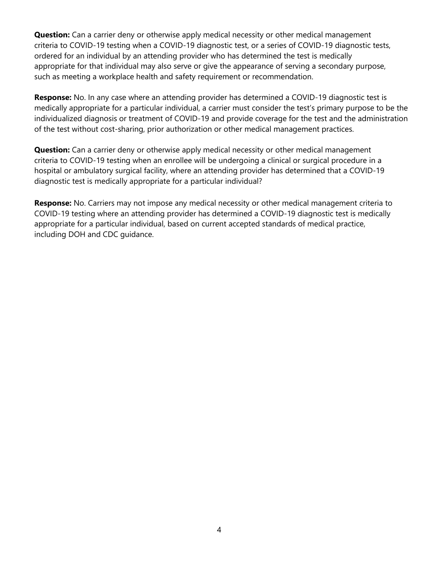**Question:** Can a carrier deny or otherwise apply medical necessity or other medical management criteria to COVID-19 testing when a COVID-19 diagnostic test, or a series of COVID-19 diagnostic tests, ordered for an individual by an attending provider who has determined the test is medically appropriate for that individual may also serve or give the appearance of serving a secondary purpose, such as meeting a workplace health and safety requirement or recommendation.

**Response:** No. In any case where an attending provider has determined a COVID-19 diagnostic test is medically appropriate for a particular individual, a carrier must consider the test's primary purpose to be the individualized diagnosis or treatment of COVID-19 and provide coverage for the test and the administration of the test without cost-sharing, prior authorization or other medical management practices.

**Question:** Can a carrier deny or otherwise apply medical necessity or other medical management criteria to COVID-19 testing when an enrollee will be undergoing a clinical or surgical procedure in a hospital or ambulatory surgical facility, where an attending provider has determined that a COVID-19 diagnostic test is medically appropriate for a particular individual?

**Response:** No. Carriers may not impose any medical necessity or other medical management criteria to COVID-19 testing where an attending provider has determined a COVID-19 diagnostic test is medically appropriate for a particular individual, based on current accepted standards of medical practice, including DOH and CDC guidance.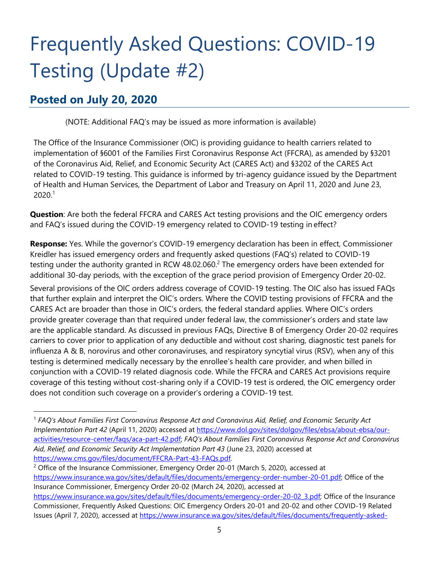### Frequently Asked Questions: COVID-19 Testing (Update #2)

#### **Posted on July 20, 2020**

(NOTE: Additional FAQ's may be issued as more information is available)

The Office of the Insurance Commissioner (OIC) is providing guidance to health carriers related to implementation of §6001 of the Families First Coronavirus Response Act (FFCRA), as amended by §3201 of the Coronavirus Aid, Relief, and Economic Security Act (CARES Act) and §3202 of the CARES Act related to COVID-19 testing. This guidance is informed by tri-agency guidance issued by the Department of Health and Human Services, the Department of Labor and Treasury on April 11, 2020 and June 23,  $2020<sup>1</sup>$ 

**Question**: Are both the federal FFCRA and CARES Act testing provisions and the OIC emergency orders and FAQ's issued during the COVID-19 emergency related to COVID-19 testing in effect?

**Response:** Yes. While the governor's COVID-19 emergency declaration has been in effect, Commissioner Kreidler has issued emergency orders and frequently asked questions (FAQ's) related to COVID-19 testing under the authority granted in RCW 48.02.060.<sup>2</sup> The emergency orders have been extended for additional 30-day periods, with the exception of the grace period provision of Emergency Order 20-02.

Several provisions of the OIC orders address coverage of COVID-19 testing. The OIC also has issued FAQs that further explain and interpret the OIC's orders. Where the COVID testing provisions of FFCRA and the CARES Act are broader than those in OIC's orders, the federal standard applies. Where OIC's orders provide greater coverage than that required under federal law, the commissioner's orders and state law are the applicable standard. As discussed in previous FAQs, Directive B of Emergency Order 20-02 requires carriers to cover prior to application of any deductible and without cost sharing, diagnostic test panels for influenza A & B, norovirus and other coronaviruses, and respiratory syncytial virus (RSV), when any of this testing is determined medically necessary by the enrollee's health care provider, and when billed in conjunction with a COVID-19 related diagnosis code. While the FFCRA and CARES Act provisions require coverage of this testing without cost-sharing only if a COVID-19 test is ordered, the OIC emergency order does not condition such coverage on a provider's ordering a COVID-19 test.

<sup>2</sup> Office of the Insurance Commissioner, Emergency Order 20-01 (March 5, 2020), accessed at [https://www.insurance.wa.gov/sites/default/files/documents/emergency-order-number-20-01.pdf; O](https://www.insurance.wa.gov/sites/default/files/documents/emergency-order-number-20-01.pdf)ffice of the Insurance Commissioner, Emergency Order 20-02 (March 24, 2020), accessed at

<sup>1</sup> *FAQ's About Families First Coronavirus Response Act and Coronavirus Aid, Relief, and Economic Security Act Implementation Part 42* (April 11, 2020) accessed at [https://www.dol.gov/sites/dolgov/files/ebsa/about-ebsa/our](https://www.dol.gov/sites/dolgov/files/ebsa/about-ebsa/our-activities/resource-center/faqs/aca-part-42.pdf)[activities/resource-center/faqs/aca-part-42.pdf;](https://www.dol.gov/sites/dolgov/files/ebsa/about-ebsa/our-activities/resource-center/faqs/aca-part-42.pdf) *FAQ's About Families First Coronavirus Response Act and Coronavirus Aid, Relief, and Economic Security Act Implementation Part 43* (June 23, 2020) accessed at [https://www.cms.gov/files/document/FFCRA-Part-43-FAQs.pdf.](https://www.cms.gov/files/document/FFCRA-Part-43-FAQs.pdf)

[https://www.insurance.wa.gov/sites/default/files/documents/emergency-order-20-02\\_3.pdf; O](https://www.insurance.wa.gov/sites/default/files/documents/emergency-order-20-02_3.pdf)ffice of the Insurance Commissioner, Frequently Asked Questions: OIC Emergency Orders 20-01 and 20-02 and other COVID-19 Related Issues (April 7, 2020), accessed at [https://www.insurance.wa.gov/sites/default/files/documents/frequently-asked-](https://www.insurance.wa.gov/sites/default/files/documents/frequently-asked-questions-about-Emergency-Order-2020-1-and-2_0.pdf)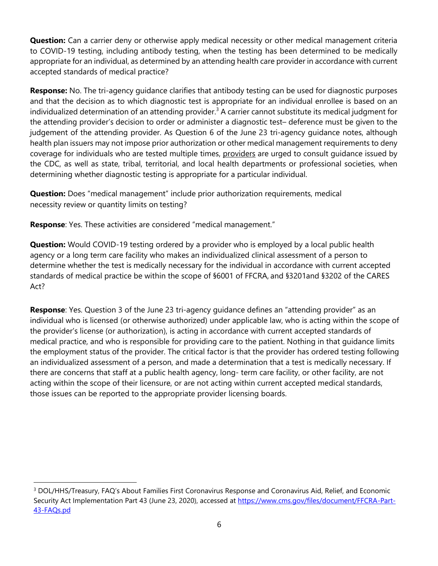**Question:** Can a carrier deny or otherwise apply medical necessity or other medical management criteria to COVID-19 testing, including antibody testing, when the testing has been determined to be medically appropriate for an individual, as determined by an attending health care provider in accordance with current accepted standards of medical practice?

**Response:** No. The tri-agency guidance clarifies that antibody testing can be used for diagnostic purposes and that the decision as to which diagnostic test is appropriate for an individual enrollee is based on an individualized determination of an attending provider.<sup>3</sup> A carrier cannot substitute its medical judgment for the attending provider's decision to order or administer a diagnostic test– deference must be given to the judgement of the attending provider. As Question 6 of the June 23 tri-agency guidance notes, although health plan issuers may not impose prior authorization or other medical management requirements to deny coverage for individuals who are tested multiple times, providers are urged to consult guidance issued by the CDC, as well as state, tribal, territorial, and local health departments or professional societies, when determining whether diagnostic testing is appropriate for a particular individual.

**Question:** Does "medical management" include prior authorization requirements, medical necessity review or quantity limits on testing?

**Response**: Yes. These activities are considered "medical management."

**Question:** Would COVID-19 testing ordered by a provider who is employed by a local public health agency or a long term care facility who makes an individualized clinical assessment of a person to determine whether the test is medically necessary for the individual in accordance with current accepted standards of medical practice be within the scope of §6001 of FFCRA, and §3201and §3202 of the CARES Act?

**Response**: Yes. Question 3 of the June 23 tri-agency guidance defines an "attending provider" as an individual who is licensed (or otherwise authorized) under applicable law, who is acting within the scope of the provider's license (or authorization), is acting in accordance with current accepted standards of medical practice, and who is responsible for providing care to the patient. Nothing in that guidance limits the employment status of the provider. The critical factor is that the provider has ordered testing following an individualized assessment of a person, and made a determination that a test is medically necessary. If there are concerns that staff at a public health agency, long- term care facility, or other facility, are not acting within the scope of their licensure, or are not acting within current accepted medical standards, those issues can be reported to the appropriate provider licensing boards.

<sup>&</sup>lt;sup>3</sup> DOL/HHS/Treasury, FAQ's About Families First Coronavirus Response and Coronavirus Aid, Relief, and Economic Security Act Implementation Part 43 (June 23, 2020), accessed at https://www.cms.gov/files/document/FFCRA-Part-43-FAQs.pd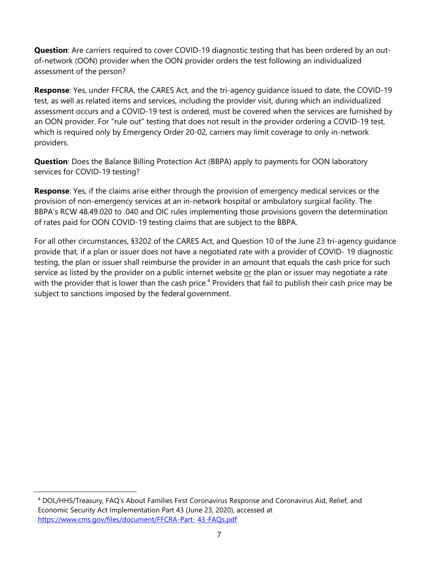**Question**: Are carriers required to cover COVID-19 diagnostic testing that has been ordered by an outof-network (OON) provider when the OON provider orders the test following an individualized assessment of the person?

**Response**: Yes, under FFCRA, the CARES Act, and the tri-agency guidance issued to date, the COVID-19 test, as well as related items and services, including the provider visit, during which an individualized assessment occurs and a COVID-19 test is ordered, must be covered when the services are furnished by an OON provider. For "rule out" testing that does not result in the provider ordering a COVID-19 test, which is required only by Emergency Order 20-02, carriers may limit coverage to only in-network providers.

**Question**: Does the Balance Billing Protection Act (BBPA) apply to payments for OON laboratory services for COVID-19 testing?

**Response**: Yes, if the claims arise either through the provision of emergency medical services or the provision of non-emergency services at an in-network hospital or ambulatory surgical facility. The BBPA's RCW 48.49.020 to .040 and OIC rules implementing those provisions govern the determination of rates paid for OON COVID-19 testing claims that are subject to the BBPA.

For all other circumstances, §3202 of the CARES Act, and Question 10 of the June 23 tri-agency guidance provide that, if a plan or issuer does not have a negotiated rate with a provider of COVID- 19 diagnostic testing, the plan or issuer shall reimburse the provider in an amount that equals the cash price for such service as listed by the provider on a public internet website or the plan or issuer may negotiate a rate with the provider that is lower than the cash price.<sup>4</sup> Providers that fail to publish their cash price may be subject to sanctions imposed by the federal government.

<sup>4</sup> DOL/HHS/Treasury, FAQ's About Families First Coronavirus Response and Coronavirus Aid, Relief, and Economic Security Act Implementation Part 43 (June 23, 2020), accessed at [https://www.cms.gov/files/document/FFCRA-Part-](https://www.cms.gov/files/document/FFCRA-Part-43-FAQs.pdf) [43-FAQs.pdf](https://www.cms.gov/files/document/FFCRA-Part-43-FAQs.pdf)